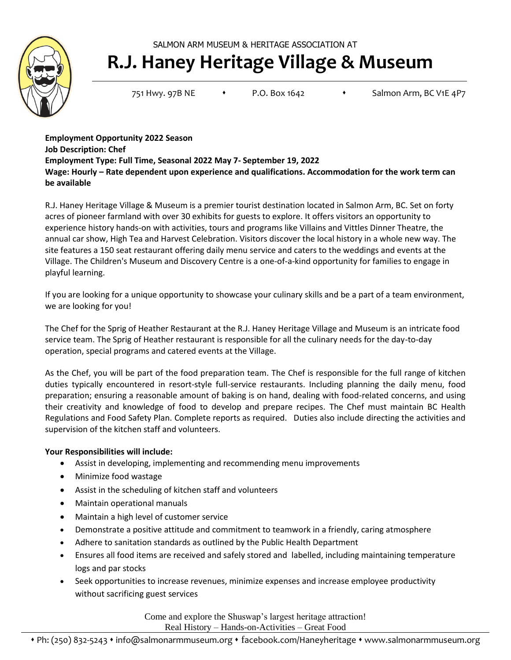SALMON ARM MUSEUM & HERITAGE ASSOCIATION AT



# **R.J. Haney Heritage Village & Museum**

751 Hwy. 97B NE • P.O. Box 1642 • Salmon Arm, BC V1E 4P7

**Employment Opportunity 2022 Season Job Description: Chef Employment Type: Full Time, Seasonal 2022 May 7- September 19, 2022 Wage: Hourly – Rate dependent upon experience and qualifications. Accommodation for the work term can be available**

R.J. Haney Heritage Village & Museum is a premier tourist destination located in Salmon Arm, BC. Set on forty acres of pioneer farmland with over 30 exhibits for guests to explore. It offers visitors an opportunity to experience history hands-on with activities, tours and programs like Villains and Vittles Dinner Theatre, the annual car show, High Tea and Harvest Celebration. Visitors discover the local history in a whole new way. The site features a 150 seat restaurant offering daily menu service and caters to the weddings and events at the Village. The Children's Museum and Discovery Centre is a one-of-a-kind opportunity for families to engage in playful learning.

If you are looking for a unique opportunity to showcase your culinary skills and be a part of a team environment, we are looking for you!

The Chef for the Sprig of Heather Restaurant at the R.J. Haney Heritage Village and Museum is an intricate food service team. The Sprig of Heather restaurant is responsible for all the culinary needs for the day-to-day operation, special programs and catered events at the Village.

As the Chef, you will be part of the food preparation team. The Chef is responsible for the full range of kitchen duties typically encountered in resort-style full-service restaurants. Including planning the daily menu, food preparation; ensuring a reasonable amount of baking is on hand, dealing with food-related concerns, and using their creativity and knowledge of food to develop and prepare recipes. The Chef must maintain BC Health Regulations and Food Safety Plan. Complete reports as required. Duties also include directing the activities and supervision of the kitchen staff and volunteers.

## **Your Responsibilities will include:**

- Assist in developing, implementing and recommending menu improvements
- Minimize food wastage
- Assist in the scheduling of kitchen staff and volunteers
- Maintain operational manuals
- Maintain a high level of customer service
- Demonstrate a positive attitude and commitment to teamwork in a friendly, caring atmosphere
- Adhere to sanitation standards as outlined by the Public Health Department
- Ensures all food items are received and safely stored and labelled, including maintaining temperature logs and par stocks
- Seek opportunities to increase revenues, minimize expenses and increase employee productivity without sacrificing guest services

Come and explore the Shuswap's largest heritage attraction! Real History – Hands-on-Activities – Great Food